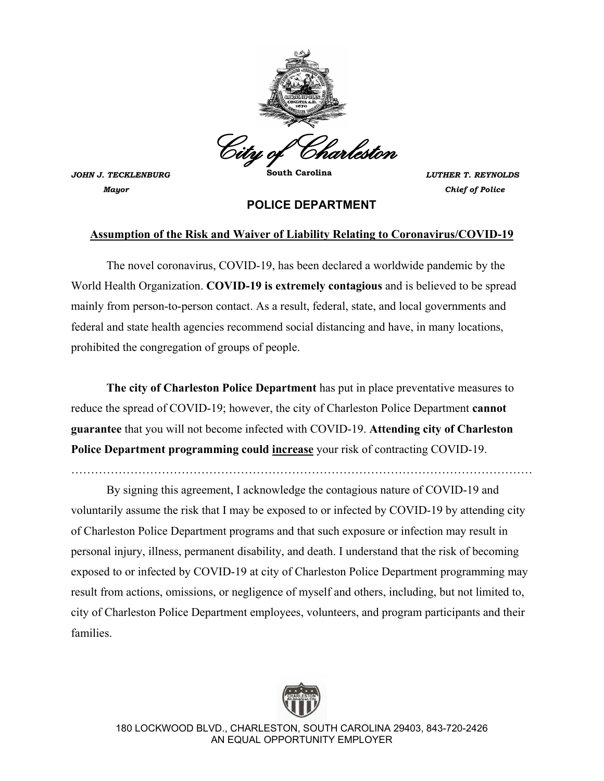

*JOHN J. TECKLENBURG* **South Carolina** *LUTHER T. REYNOLDS Mayor**Chief of Police*

## **POLICE DEPARTMENT**

## **Assumption of the Risk and Waiver of Liability Relating to Coronavirus/COVID-19**

The novel coronavirus, COVID-19, has been declared a worldwide pandemic by the World Health Organization. **COVID-19 is extremely contagious** and is believed to be spread mainly from person-to-person contact. As a result, federal, state, and local governments and federal and state health agencies recommend social distancing and have, in many locations, prohibited the congregation of groups of people.

**The city of Charleston Police Department** has put in place preventative measures to reduce the spread of COVID-19; however, the city of Charleston Police Department **cannot guarantee** that you will not become infected with COVID-19. **Attending city of Charleston Police Department programming could increase** your risk of contracting COVID-19.

………………………………………………………………………………………………………

 By signing this agreement, I acknowledge the contagious nature of COVID-19 and voluntarily assume the risk that I may be exposed to or infected by COVID-19 by attending city of Charleston Police Department programs and that such exposure or infection may result in personal injury, illness, permanent disability, and death. I understand that the risk of becoming exposed to or infected by COVID-19 at city of Charleston Police Department programming may result from actions, omissions, or negligence of myself and others, including, but not limited to, city of Charleston Police Department employees, volunteers, and program participants and their families.



180 LOCKWOOD BLVD., CHARLESTON, SOUTH CAROLINA 29403, 843-720-2426 AN EQUAL OPPORTUNITY EMPLOYER